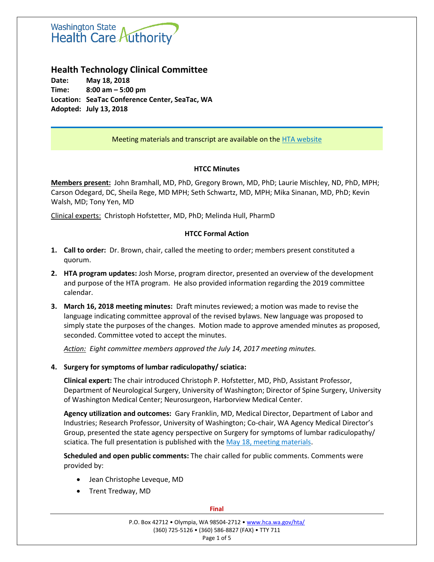

# **Health Technology Clinical Committee**

**Date: May 18, 2018 Time: 8:00 am – 5:00 pm Location: SeaTac Conference Center, SeaTac, WA Adopted: July 13, 2018**

# Meeting materials and transcript are available on the [HTA website](http://www.hca.wa.gov/about-hca/health-technology-assessment/meetings-and-materials)

# **HTCC Minutes**

**Members present:** John Bramhall, MD, PhD, Gregory Brown, MD, PhD; Laurie Mischley, ND, PhD, MPH; Carson Odegard, DC, Sheila Rege, MD MPH; Seth Schwartz, MD, MPH; Mika Sinanan, MD, PhD; Kevin Walsh, MD; Tony Yen, MD

Clinical experts: Christoph Hofstetter, MD, PhD; Melinda Hull, PharmD

# **HTCC Formal Action**

- **1. Call to order:** Dr. Brown, chair, called the meeting to order; members present constituted a quorum.
- **2. HTA program updates:** Josh Morse, program director, presented an overview of the development and purpose of the HTA program. He also provided information regarding the 2019 committee calendar.
- **3. March 16, 2018 meeting minutes:** Draft minutes reviewed; a motion was made to revise the language indicating committee approval of the revised bylaws. New language was proposed to simply state the purposes of the changes. Motion made to approve amended minutes as proposed, seconded. Committee voted to accept the minutes.

*Action: Eight committee members approved the July 14, 2017 meeting minutes.*

# **4. Surgery for symptoms of lumbar radiculopathy/ sciatica:**

**Clinical expert:** The chair introduced Christoph P. Hofstetter, MD, PhD, Assistant Professor, Department of Neurological Surgery, University of Washington; Director of Spine Surgery, University of Washington Medical Center; Neurosurgeon, Harborview Medical Center.

**Agency utilization and outcomes:** Gary Franklin, MD, Medical Director, Department of Labor and Industries; Research Professor, University of Washington; Co-chair, WA Agency Medical Director's Group, presented the state agency perspective on Surgery for symptoms of lumbar radiculopathy/ sciatica. The full presentation is published with the May 18, [meeting materials.](http://www.hca.wa.gov/about-hca/health-technology-assessment/meetings-and-materials)

**Scheduled and open public comments:** The chair called for public comments. Comments were provided by:

- Jean Christophe Leveque, MD
- Trent Tredway, MD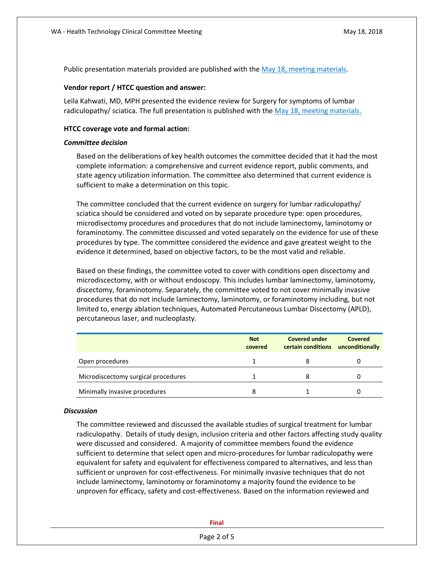Public presentation materials provided are published with the May 18, meeting [materials.](http://www.hca.wa.gov/about-hca/health-technology-assessment/meetings-and-materials)

#### **Vendor report / HTCC question and answer:**

Leila Kahwati, MD, MPH presented the evidence review for Surgery for symptoms of lumbar radiculopathy/ sciatica. The full presentation is published with the [May 18, meeting materials.](http://www.hca.wa.gov/about-hca/health-technology-assessment/meetings-and-materials)

#### **HTCC coverage vote and formal action:**

#### *Committee decision*

Based on the deliberations of key health outcomes the committee decided that it had the most complete information: a comprehensive and current evidence report, public comments, and state agency utilization information. The committee also determined that current evidence is sufficient to make a determination on this topic.

The committee concluded that the current evidence on surgery for lumbar radiculopathy/ sciatica should be considered and voted on by separate procedure type: open procedures, microdisectomy procedures and procedures that do not include laminectomy, laminotomy or foraminotomy. The committee discussed and voted separately on the evidence for use of these procedures by type. The committee considered the evidence and gave greatest weight to the evidence it determined, based on objective factors, to be the most valid and reliable.

Based on these findings, the committee voted to cover with conditions open discectomy and microdiscectomy, with or without endoscopy. This includes lumbar laminectomy, laminotomy, discectomy, foraminotomy. Separately, the committee voted to not cover minimally invasive procedures that do not include laminectomy, laminotomy, or foraminotomy including, but not limited to, energy ablation techniques, Automated Percutaneous Lumbar Discectomy (APLD), percutaneous laser, and nucleoplasty.

|                                     | <b>Not</b><br>covered | Covered under<br>certain conditions | Covered<br>unconditionally |
|-------------------------------------|-----------------------|-------------------------------------|----------------------------|
| Open procedures                     |                       | 8                                   |                            |
| Microdiscectomy surgical procedures |                       | 8                                   |                            |
| Minimally invasive procedures       |                       |                                     |                            |

### *Discussion*

The committee reviewed and discussed the available studies of surgical treatment for lumbar radiculopathy. Details of study design, inclusion criteria and other factors affecting study quality were discussed and considered. A majority of committee members found the evidence sufficient to determine that select open and micro-procedures for lumbar radiculopathy were equivalent for safety and equivalent for effectiveness compared to alternatives, and less than sufficient or unproven for cost-effectiveness. For minimally invasive techniques that do not include laminectomy, laminotomy or foraminotomy a majority found the evidence to be unproven for efficacy, safety and cost-effectiveness. Based on the information reviewed and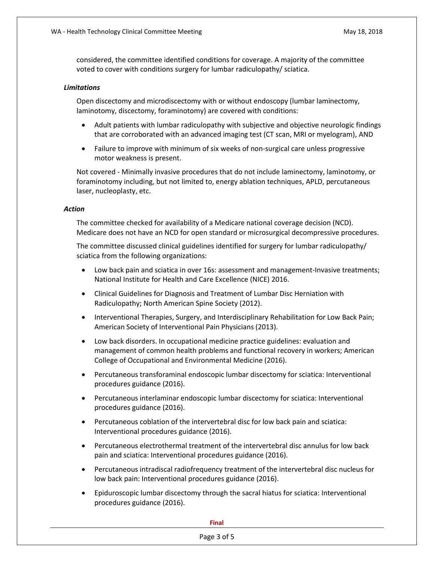considered, the committee identified conditions for coverage. A majority of the committee voted to cover with conditions surgery for lumbar radiculopathy/ sciatica.

### *Limitations*

Open discectomy and microdiscectomy with or without endoscopy (lumbar laminectomy, laminotomy, discectomy, foraminotomy) are covered with conditions:

- Adult patients with lumbar radiculopathy with subjective and objective neurologic findings that are corroborated with an advanced imaging test (CT scan, MRI or myelogram), AND
- Failure to improve with minimum of six weeks of non-surgical care unless progressive motor weakness is present.

Not covered - Minimally invasive procedures that do not include laminectomy, laminotomy, or foraminotomy including, but not limited to, energy ablation techniques, APLD, percutaneous laser, nucleoplasty, etc.

### *Action*

The committee checked for availability of a Medicare national coverage decision (NCD). Medicare does not have an NCD for open standard or microsurgical decompressive procedures.

The committee discussed clinical guidelines identified for surgery for lumbar radiculopathy/ sciatica from the following organizations:

- Low back pain and sciatica in over 16s: assessment and management-Invasive treatments; National Institute for Health and Care Excellence (NICE) 2016.
- Clinical Guidelines for Diagnosis and Treatment of Lumbar Disc Herniation with Radiculopathy; North American Spine Society (2012).
- Interventional Therapies, Surgery, and Interdisciplinary Rehabilitation for Low Back Pain; American Society of Interventional Pain Physicians (2013).
- Low back disorders. In occupational medicine practice guidelines: evaluation and management of common health problems and functional recovery in workers; American College of Occupational and Environmental Medicine (2016).
- Percutaneous transforaminal endoscopic lumbar discectomy for sciatica: Interventional procedures guidance (2016).
- Percutaneous interlaminar endoscopic lumbar discectomy for sciatica: Interventional procedures guidance (2016).
- Percutaneous coblation of the intervertebral disc for low back pain and sciatica: Interventional procedures guidance (2016).
- Percutaneous electrothermal treatment of the intervertebral disc annulus for low back pain and sciatica: Interventional procedures guidance (2016).
- Percutaneous intradiscal radiofrequency treatment of the intervertebral disc nucleus for low back pain: Interventional procedures guidance (2016).
- Epiduroscopic lumbar discectomy through the sacral hiatus for sciatica: Interventional procedures guidance (2016).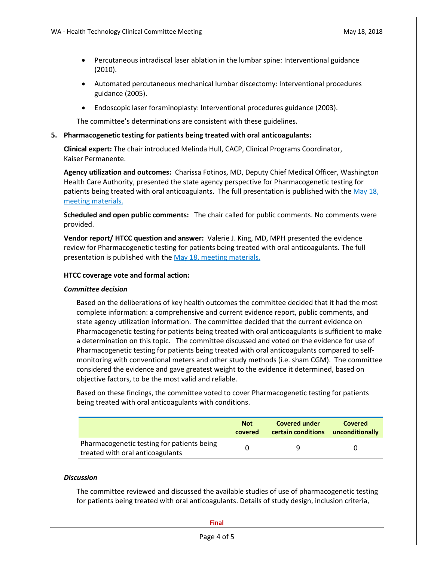- Percutaneous intradiscal laser ablation in the lumbar spine: Interventional guidance (2010).
- Automated percutaneous mechanical lumbar discectomy: Interventional procedures guidance (2005).
- Endoscopic laser foraminoplasty: Interventional procedures guidance (2003).

The committee's determinations are consistent with these guidelines.

### **5. Pharmacogenetic testing for patients being treated with oral anticoagulants:**

**Clinical expert:** The chair introduced Melinda Hull, CACP, Clinical Programs Coordinator, Kaiser Permanente.

**Agency utilization and outcomes:** Charissa Fotinos, MD, Deputy Chief Medical Officer, Washington Health Care Authority, presented the state agency perspective for Pharmacogenetic testing for patients being treated with oral anticoagulants. The full presentation is published with th[e May 18,](http://www.hca.wa.gov/about-hca/health-technology-assessment/meetings-and-materials)  [meeting materials.](http://www.hca.wa.gov/about-hca/health-technology-assessment/meetings-and-materials)

**Scheduled and open public comments:** The chair called for public comments. No comments were provided.

**Vendor report/ HTCC question and answer:** Valerie J. King, MD, MPH presented the evidence review for Pharmacogenetic testing for patients being treated with oral anticoagulants*.* The full presentation is published with the [May 18, meeting materials.](http://www.hca.wa.gov/about-hca/health-technology-assessment/meetings-and-materials)

### **HTCC coverage vote and formal action:**

### *Committee decision*

Based on the deliberations of key health outcomes the committee decided that it had the most complete information: a comprehensive and current evidence report, public comments, and state agency utilization information. The committee decided that the current evidence on Pharmacogenetic testing for patients being treated with oral anticoagulants is sufficient to make a determination on this topic. The committee discussed and voted on the evidence for use of Pharmacogenetic testing for patients being treated with oral anticoagulants compared to selfmonitoring with conventional meters and other study methods (i.e. sham CGM). The committee considered the evidence and gave greatest weight to the evidence it determined, based on objective factors, to be the most valid and reliable.

Based on these findings, the committee voted to cover Pharmacogenetic testing for patients being treated with oral anticoagulants with conditions.

|                                                                                | <b>Not</b> | <b>Covered under</b> | Covered         |
|--------------------------------------------------------------------------------|------------|----------------------|-----------------|
|                                                                                | covered    | certain conditions   | unconditionally |
| Pharmacogenetic testing for patients being<br>treated with oral anticoagulants |            | q                    |                 |

### *Discussion*

The committee reviewed and discussed the available studies of use of pharmacogenetic testing for patients being treated with oral anticoagulants. Details of study design, inclusion criteria,